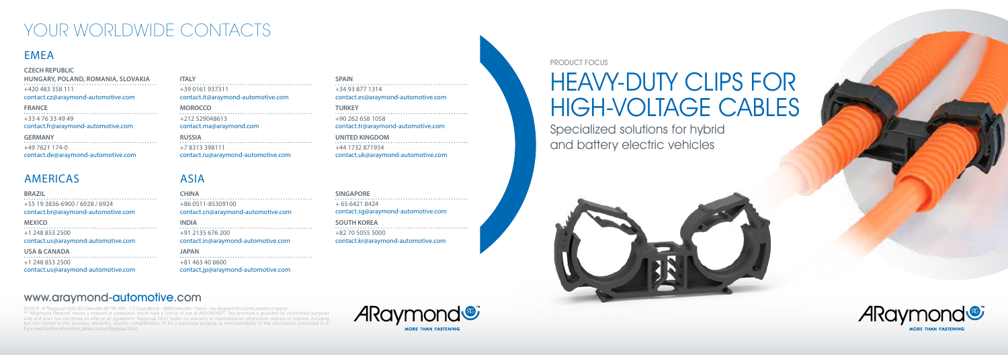#### PRODUCT FOCUS

## HEAVY-DUTY CLIPS FOR HIGH-VOLTAGE CABLES

Specialized solutions for hybrid and battery electric vehicles



## www.araymond-automotive.com

## YOUR WORLDWIDE CONTACTS

## **FMFA**

05/2018 - © \*Raygroup SASU, RCS Grenoble 487 947 483 - 113 Cours Berriat - 38000 Grenoble - France - has designed this communication material. \*\* "Araymond Trans a network of companies which have a license of use of ARAYMOND™. This brochure is provided for information purposes only and does not constitute an offer or an agreement. Raygroup SASU makes no warranty or representation whatsoever, express or implied, including but not limited to the accuracy, reliability, novelty, completeness, fit for a particular purpose or merchantability of the information contained in it. If you need further information, please contact Raygroup SASU.





## ASIA

**CHINA** +86 0511-85309100 contact.cn@araymond-automotive.com

**INDIA** +91 2135 676 200 contact.in@araymond-automotive.com

**JAPAN**

+81 463 40 8600

contact.jp@araymond-automotive.com

**SINGAPORE** + 65 6421 8424 contact.sg@araymond-automotive.com

**SOUTH KOREA** +82 70 5055 5000 contact.kr@araymond-automotive.com

## AMERICAS

**BRAZIL**

+55 19 3836-6900 / 6928 / 6924 contact.br@araymond-automotive.com

**MEXICO** +1 248 853 2500 contact.us@araymond-automotive.com

### **USA & CANADA**

+1 248 853 2500 contact.us@araymond-automotive.com

#### **CZECH REPUBLIC**

**HUNGARY, POLAND, ROMANIA, SLOVAKIA** +420 483 358 111 contact.cz@araymond-automotive.com

**FRANCE** +33 4 76 33 49 49 contact.fr@araymond-automotive.com

**GERMANY** +49 7621 174-0 contact.de@araymond-automotive.com

**ITALY** +39 0161 937311 contact.it@araymond-automotive.com

**MOROCCO** +212 529048613 contact.ma@araymond.com

**RUSSIA** +7 8313 398111 contact.ru@araymond-automotive.com

**SPAIN**

+34 93 877 1314

contact.es@araymond-automotive.com

**TURKEY**

+90 262 658 1058

contact.tr@araymond-automotive.com

**UNITED KINGDOM**

+44 1732 871934

contact.uk@araymond-automotive.com